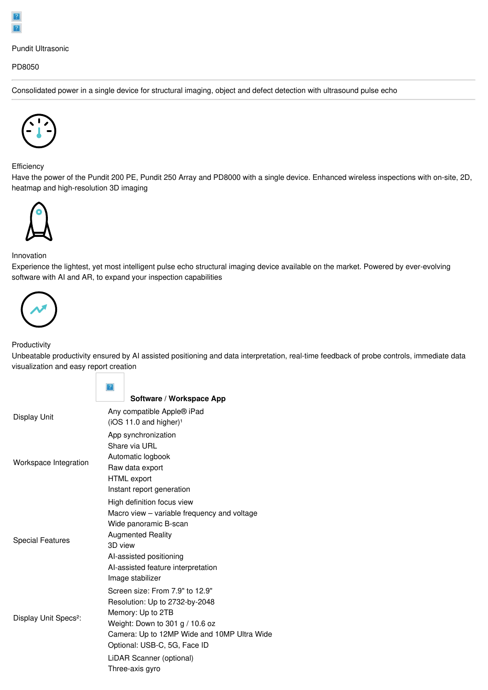## Pundit Ultrasonic

### PD8050

Consolidated power in a single device for structural imaging, object and defect detection with ultrasound pulse echo



**Efficiency** 

Have the power of the Pundit 200 PE, Pundit 250 Array and PD8000 with a single device. Enhanced wireless inspections with on-site, 2D, heatmap and high-resolution 3D imaging



### Innovation

Experience the lightest, yet most intelligent pulse echo structural imaging device available on the market. Powered by ever-evolving software with AI and AR, to expand your inspection capabilities



### Productivity

Unbeatable productivity ensured by AI assisted positioning and data interpretation, real-time feedback of probe controls, immediate data visualization and easy report creation

|                                   | $\vert$ ?                                   |
|-----------------------------------|---------------------------------------------|
|                                   | Software / Workspace App                    |
| Display Unit                      | Any compatible Apple® iPad                  |
|                                   | $(iOS 11.0$ and higher) <sup>1</sup>        |
| Workspace Integration             | App synchronization                         |
|                                   | Share via URL                               |
|                                   | Automatic logbook                           |
|                                   | Raw data export                             |
|                                   | <b>HTML</b> export                          |
|                                   | Instant report generation                   |
|                                   | High definition focus view                  |
|                                   | Macro view – variable frequency and voltage |
|                                   | Wide panoramic B-scan                       |
| <b>Special Features</b>           | <b>Augmented Reality</b>                    |
|                                   | 3D view                                     |
|                                   | Al-assisted positioning                     |
|                                   | Al-assisted feature interpretation          |
|                                   | Image stabilizer                            |
| Display Unit Specs <sup>2</sup> : | Screen size: From 7.9" to 12.9"             |
|                                   | Resolution: Up to 2732-by-2048              |
|                                   | Memory: Up to 2TB                           |
|                                   | Weight: Down to 301 g / 10.6 oz             |
|                                   | Camera: Up to 12MP Wide and 10MP Ultra Wide |
|                                   | Optional: USB-C, 5G, Face ID                |
|                                   | LiDAR Scanner (optional)                    |
|                                   | Three-axis gyro                             |